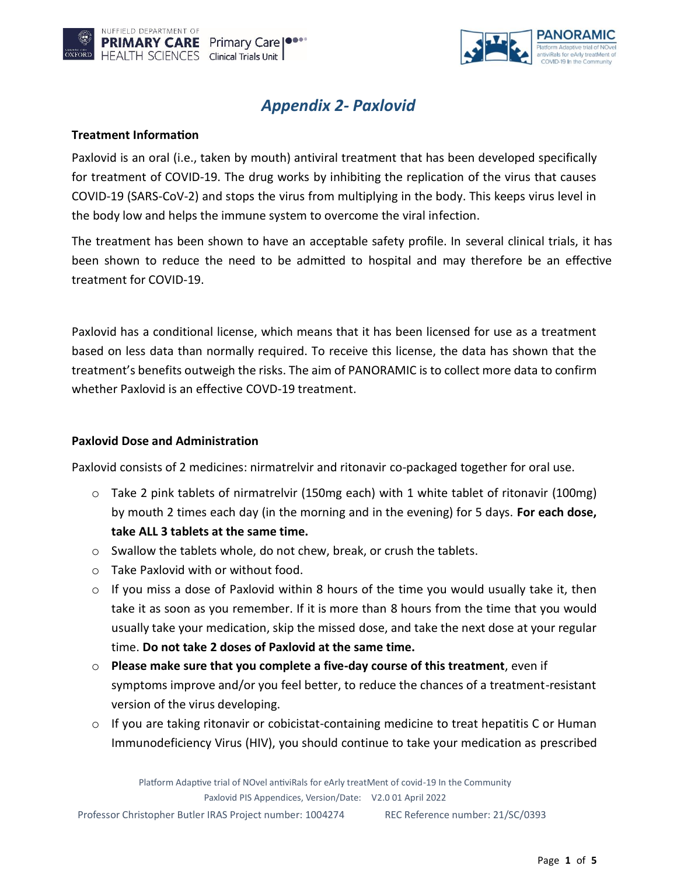



# *Appendix 2- Paxlovid*

### **Treatment Information**

Paxlovid is an oral (i.e., taken by mouth) antiviral treatment that has been developed specifically for treatment of COVID-19. The drug works by inhibiting the replication of the virus that causes COVID-19 (SARS-CoV-2) and stops the virus from multiplying in the body. This keeps virus level in the body low and helps the immune system to overcome the viral infection.

The treatment has been shown to have an acceptable safety profile. In several clinical trials, it has been shown to reduce the need to be admitted to hospital and may therefore be an effective treatment for COVID-19.

Paxlovid has a conditional license, which means that it has been licensed for use as a treatment based on less data than normally required. To receive this license, the data has shown that the treatment's benefits outweigh the risks. The aim of PANORAMIC is to collect more data to confirm whether Paxlovid is an effective COVD-19 treatment.

### **Paxlovid Dose and Administration**

Paxlovid consists of 2 medicines: nirmatrelvir and ritonavir co-packaged together for oral use.

- $\circ$  Take 2 pink tablets of nirmatrelvir (150mg each) with 1 white tablet of ritonavir (100mg) by mouth 2 times each day (in the morning and in the evening) for 5 days. **For each dose, take ALL 3 tablets at the same time.**
- $\circ$  Swallow the tablets whole, do not chew, break, or crush the tablets.
- o Take Paxlovid with or without food.
- $\circ$  If you miss a dose of Paxlovid within 8 hours of the time you would usually take it, then take it as soon as you remember. If it is more than 8 hours from the time that you would usually take your medication, skip the missed dose, and take the next dose at your regular time. **Do not take 2 doses of Paxlovid at the same time.**
- o **Please make sure that you complete a five-day course of this treatment**, even if symptoms improve and/or you feel better, to reduce the chances of a treatment-resistant version of the virus developing.
- $\circ$  If you are taking ritonavir or cobicistat-containing medicine to treat hepatitis C or Human Immunodeficiency Virus (HIV), you should continue to take your medication as prescribed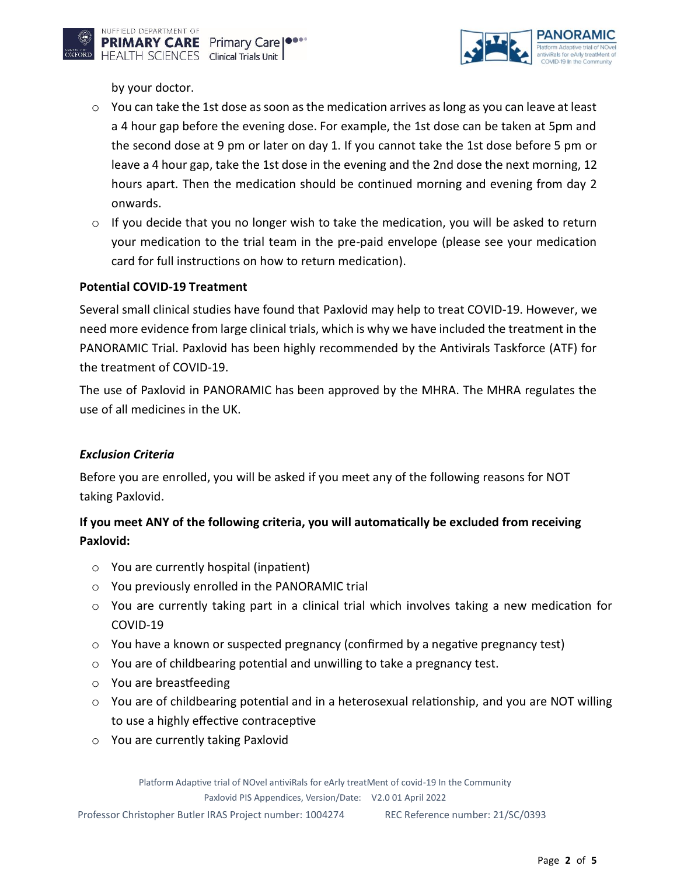

by your doctor.

- $\circ$  You can take the 1st dose as soon as the medication arrives as long as you can leave at least a 4 hour gap before the evening dose. For example, the 1st dose can be taken at 5pm and the second dose at 9 pm or later on day 1. If you cannot take the 1st dose before 5 pm or leave a 4 hour gap, take the 1st dose in the evening and the 2nd dose the next morning, 12 hours apart. Then the medication should be continued morning and evening from day 2 onwards.
- $\circ$  If you decide that you no longer wish to take the medication, you will be asked to return your medication to the trial team in the pre-paid envelope (please see your medication card for full instructions on how to return medication).

### **Potential COVID-19 Treatment**

Several small clinical studies have found that Paxlovid may help to treat COVID-19. However, we need more evidence from large clinical trials, which is why we have included the treatment in the PANORAMIC Trial. Paxlovid has been highly recommended by the Antivirals Taskforce (ATF) for the treatment of COVID-19.

The use of Paxlovid in PANORAMIC has been approved by the MHRA. The MHRA regulates the use of all medicines in the UK.

### *Exclusion Criteria*

Before you are enrolled, you will be asked if you meet any of the following reasons for NOT taking Paxlovid.

## **If you meet ANY of the following criteria, you will automatically be excluded from receiving Paxlovid:**

- o You are currently hospital (inpatient)
- o You previously enrolled in the PANORAMIC trial
- $\circ$  You are currently taking part in a clinical trial which involves taking a new medication for COVID-19
- $\circ$  You have a known or suspected pregnancy (confirmed by a negative pregnancy test)
- o You are of childbearing potential and unwilling to take a pregnancy test.
- o You are breastfeeding
- $\circ$  You are of childbearing potential and in a heterosexual relationship, and you are NOT willing to use a highly effective contraceptive
- o You are currently taking Paxlovid

Platform Adaptive trial of NOvel antiviRals for eArly treatMent of covid-19 In the Community

Paxlovid PIS Appendices, Version/Date: V2.0 01 April 2022

Professor Christopher Butler IRAS Project number: 1004274 REC Reference number: 21/SC/0393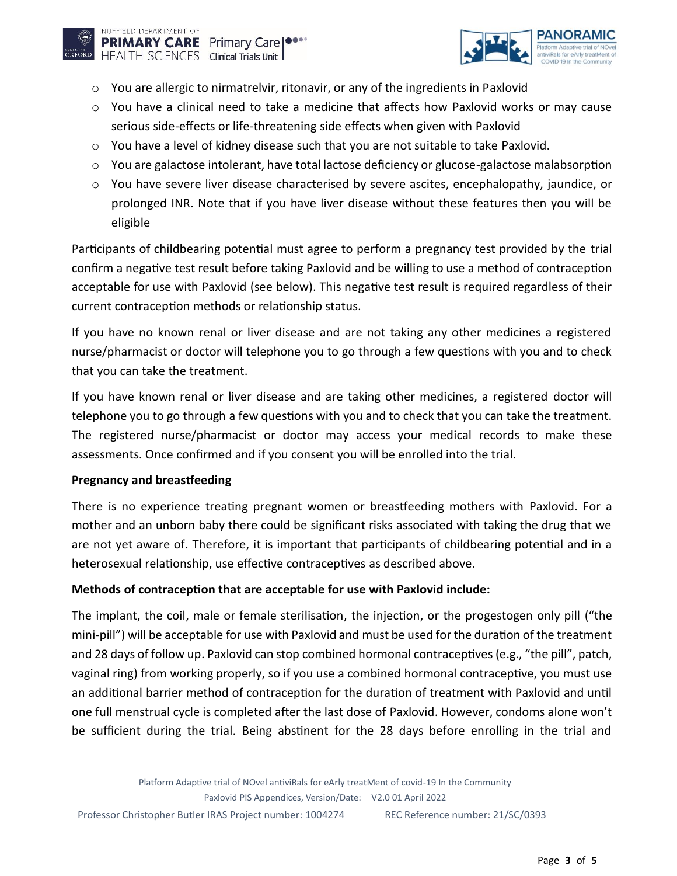

- $\circ$  You are allergic to nirmatrelvir, ritonavir, or any of the ingredients in Paxlovid
- o You have a clinical need to take a medicine that affects how Paxlovid works or may cause serious side-effects or life-threatening side effects when given with Paxlovid
- $\circ$  You have a level of kidney disease such that you are not suitable to take Paxlovid.
- $\circ$  You are galactose intolerant, have total lactose deficiency or glucose-galactose malabsorption
- $\circ$  You have severe liver disease characterised by severe ascites, encephalopathy, jaundice, or prolonged INR. Note that if you have liver disease without these features then you will be eligible

Participants of childbearing potential must agree to perform a pregnancy test provided by the trial confirm a negative test result before taking Paxlovid and be willing to use a method of contraception acceptable for use with Paxlovid (see below). This negative test result is required regardless of their current contraception methods or relationship status.

If you have no known renal or liver disease and are not taking any other medicines a registered nurse/pharmacist or doctor will telephone you to go through a few questions with you and to check that you can take the treatment.

If you have known renal or liver disease and are taking other medicines, a registered doctor will telephone you to go through a few questions with you and to check that you can take the treatment. The registered nurse/pharmacist or doctor may access your medical records to make these assessments. Once confirmed and if you consent you will be enrolled into the trial.

### **Pregnancy and breastfeeding**

There is no experience treating pregnant women or breastfeeding mothers with Paxlovid. For a mother and an unborn baby there could be significant risks associated with taking the drug that we are not yet aware of. Therefore, it is important that participants of childbearing potential and in a heterosexual relationship, use effective contraceptives as described above.

### **Methods of contraception that are acceptable for use with Paxlovid include:**

The implant, the coil, male or female sterilisation, the injection, or the progestogen only pill ("the mini-pill") will be acceptable for use with Paxlovid and must be used for the duration of the treatment and 28 days of follow up. Paxlovid can stop combined hormonal contraceptives (e.g., "the pill", patch, vaginal ring) from working properly, so if you use a combined hormonal contraceptive, you must use an additional barrier method of contraception for the duration of treatment with Paxlovid and until one full menstrual cycle is completed after the last dose of Paxlovid. However, condoms alone won't be sufficient during the trial. Being abstinent for the 28 days before enrolling in the trial and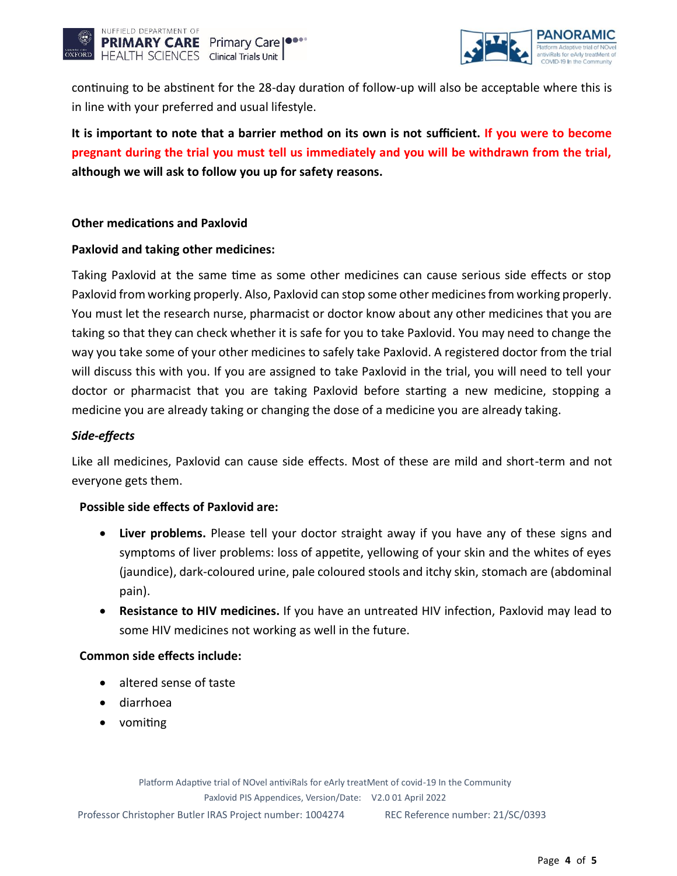



continuing to be abstinent for the 28-day duration of follow-up will also be acceptable where this is in line with your preferred and usual lifestyle.

**It is important to note that a barrier method on its own is not sufficient. If you were to become pregnant during the trial you must tell us immediately and you will be withdrawn from the trial, although we will ask to follow you up for safety reasons.**

### **Other medications and Paxlovid**

### **Paxlovid and taking other medicines:**

Taking Paxlovid at the same time as some other medicines can cause serious side effects or stop Paxlovid from working properly. Also, Paxlovid can stop some other medicines from working properly. You must let the research nurse, pharmacist or doctor know about any other medicines that you are taking so that they can check whether it is safe for you to take Paxlovid. You may need to change the way you take some of your other medicines to safely take Paxlovid. A registered doctor from the trial will discuss this with you. If you are assigned to take Paxlovid in the trial, you will need to tell your doctor or pharmacist that you are taking Paxlovid before starting a new medicine, stopping a medicine you are already taking or changing the dose of a medicine you are already taking.

### *Side-effects*

Like all medicines, Paxlovid can cause side effects. Most of these are mild and short-term and not everyone gets them.

#### **Possible side effects of Paxlovid are:**

- **Liver problems.** Please tell your doctor straight away if you have any of these signs and symptoms of liver problems: loss of appetite, yellowing of your skin and the whites of eyes (jaundice), dark-coloured urine, pale coloured stools and itchy skin, stomach are (abdominal pain).
- **Resistance to HIV medicines.** If you have an untreated HIV infection, Paxlovid may lead to some HIV medicines not working as well in the future.

#### **Common side effects include:**

- altered sense of taste
- diarrhoea
- vomiting